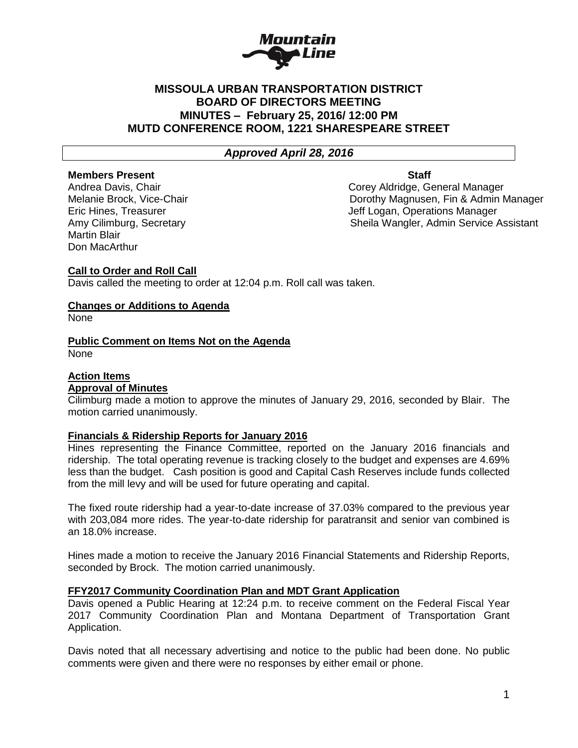

# **MISSOULA URBAN TRANSPORTATION DISTRICT BOARD OF DIRECTORS MEETING MINUTES – February 25, 2016/ 12:00 PM MUTD CONFERENCE ROOM, 1221 SHARESPEARE STREET**

# *Approved April 28, 2016*

### **Members Present Communist Staff**

Martin Blair Don MacArthur

Andrea Davis, Chair Corey Aldridge, General Manager Melanie Brock, Vice-Chair Dorothy Magnusen, Fin & Admin Manager Eric Hines, Treasurer Jeff Logan, Operations Manager Amy Cilimburg, Secretary Sheila Wangler, Admin Service Assistant

# **Call to Order and Roll Call**

Davis called the meeting to order at 12:04 p.m. Roll call was taken.

# **Changes or Additions to Agenda**

None

# **Public Comment on Items Not on the Agenda**

None

# **Action Items**

# **Approval of Minutes**

Cilimburg made a motion to approve the minutes of January 29, 2016, seconded by Blair. The motion carried unanimously.

#### **Financials & Ridership Reports for January 2016**

Hines representing the Finance Committee, reported on the January 2016 financials and ridership. The total operating revenue is tracking closely to the budget and expenses are 4.69% less than the budget. Cash position is good and Capital Cash Reserves include funds collected from the mill levy and will be used for future operating and capital.

The fixed route ridership had a year-to-date increase of 37.03% compared to the previous year with 203,084 more rides. The year-to-date ridership for paratransit and senior van combined is an 18.0% increase.

Hines made a motion to receive the January 2016 Financial Statements and Ridership Reports, seconded by Brock. The motion carried unanimously.

#### **FFY2017 Community Coordination Plan and MDT Grant Application**

Davis opened a Public Hearing at 12:24 p.m. to receive comment on the Federal Fiscal Year 2017 Community Coordination Plan and Montana Department of Transportation Grant Application.

Davis noted that all necessary advertising and notice to the public had been done. No public comments were given and there were no responses by either email or phone.